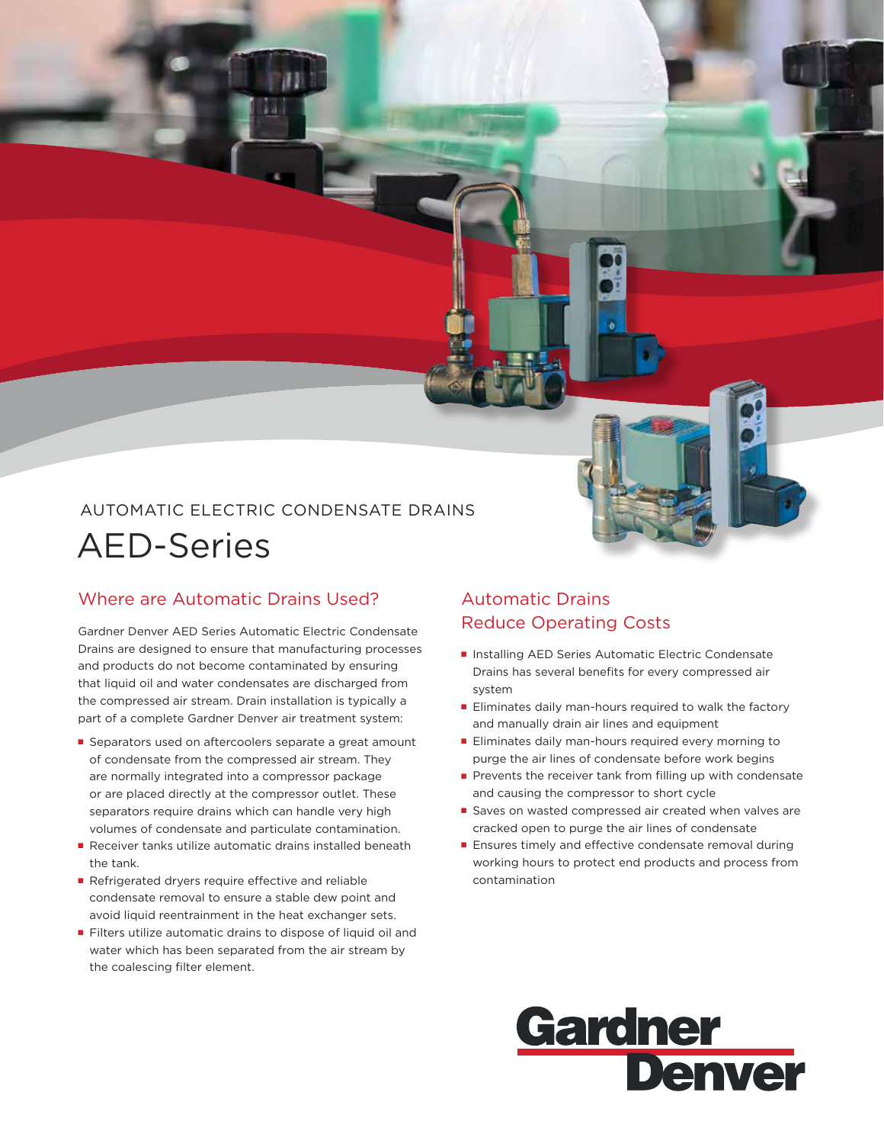# AUTOMATIC ELECTRIC CONDENSATE DRAINS AED-Series

## Where are Automatic Drains Used?

Gardner Denver AED Series Automatic Electric Condensate Drains are designed to ensure that manufacturing processes and products do not become contaminated by ensuring that liquid oil and water condensates are discharged from the compressed air stream. Drain installation is typically a part of a complete Gardner Denver air treatment system:

- Separators used on aftercoolers separate a great amount of condensate from the compressed air stream. They are normally integrated into a compressor package or are placed directly at the compressor outlet. These separators require drains which can handle very high volumes of condensate and particulate contamination.
- Receiver tanks utilize automatic drains installed beneath the tank.
- Refrigerated dryers require effective and reliable condensate removal to ensure a stable dew point and avoid liquid reentrainment in the heat exchanger sets.
- Filters utilize automatic drains to dispose of liquid oil and water which has been separated from the air stream by the coalescing filter element.

### Automatic Drains Reduce Operating Costs

- Installing AED Series Automatic Electric Condensate Drains has several benefits for every compressed air system
- Eliminates daily man-hours required to walk the factory and manually drain air lines and equipment
- Eliminates daily man-hours required every morning to purge the air lines of condensate before work begins
- Prevents the receiver tank from filling up with condensate and causing the compressor to short cycle
- Saves on wasted compressed air created when valves are cracked open to purge the air lines of condensate
- Ensures timely and effective condensate removal during working hours to protect end products and process from contamination